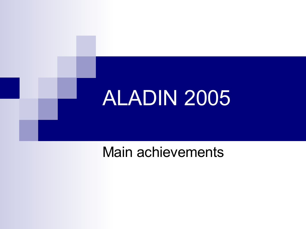

## Main achievements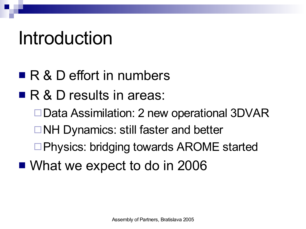# Introduction

- R & D effort in numbers
- R & D results in areas:
	- □ Data Assimilation: 2 new operational 3DVAR
	- **□NH Dynamics: still faster and better**
	- □Physics: bridging towards AROME started
- What we expect to do in 2006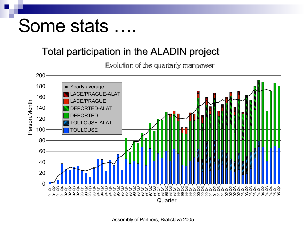# Some stats

### Total participation in the ALADIN project

Evolution of the quarterly manpower



Assembly of Partners, Bratislava 2005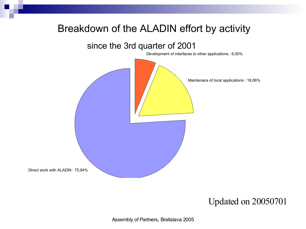#### Breakdown of the ALADIN effort by activity

#### since the 3rd quarter of 2001

Development of interfaces to other applications : 6,00%



#### Updated on 20050701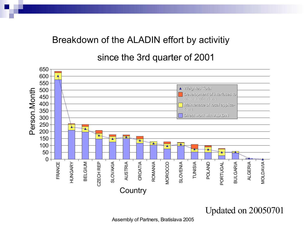#### Breakdown of the ALADIN effort by activitiy

since the 3rd quarter of 2001



Updated on 20050701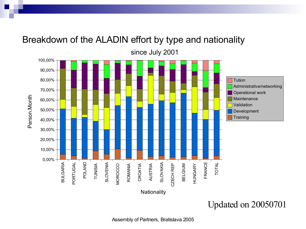

#### Breakdown of the ALADIN effort by type and nationality

Updated on 20050701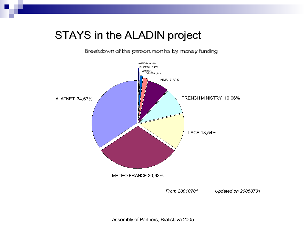#### STAYS in the ALADIN project

Breakdown of the person.months by money funding



Assembly of Partners, Bratislava 2005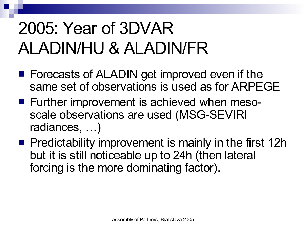# 2005: Year of 3DVAR ALADIN/HU & ALADIN/FR

- Forecasts of ALADIN get improved even if the same set of observations is used as for ARPEGE
- Further improvement is achieved when mesoscale observations are used (MSG-SEVIRI radiances, …)
- $\blacksquare$  Predictability improvement is mainly in the first 12h but it is still noticeable up to 24h (then lateral forcing is the more dominating factor).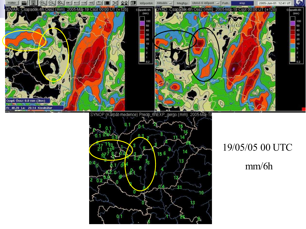

SYNOP (Kárpát-medence) Precip\_6hEXP\_gergo (mm) 2005-Máj-19 ሲ 3 14 156 13 Assembly of Partners, Bratislava 2005

## 19/05/05 00 UTC mm/6h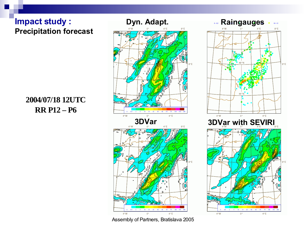#### **Impact study : Precipitation forecast**

#### **2004/07/18 12UTC RR P12 – P6**





Assembly of Partners, Bratislava 2005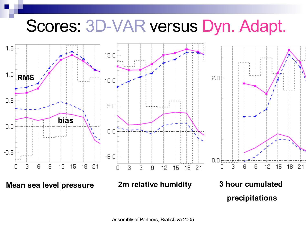## Scores: 3D-VAR versus Dyn. Adapt.

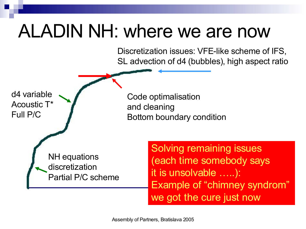# ALADIN NH: where we are now

Discretization issues: VFE-like scheme of IFS, SL advection of d4 (bubbles), high aspect ratio

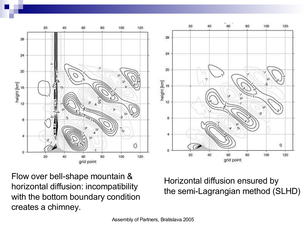



Flow over bell-shape mountain & horizontal diffusion: incompatibility with the bottom boundary condition creates a chimney.

Horizontal diffusion ensured by the semi-Lagrangian method (SLHD)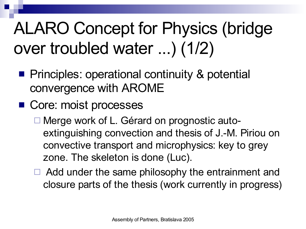# ALARO Concept for Physics (bridge over troubled water ...) (1/2)

- **Principles: operational continuity & potential** convergence with AROME
- Core: moist processes
	- □ Merge work of L. Gérard on prognostic autoextinguishing convection and thesis of J.-M. Piriou on convective transport and microphysics: key to grey zone. The skeleton is done (Luc).
	- $\Box$  Add under the same philosophy the entrainment and closure parts of the thesis (work currently in progress)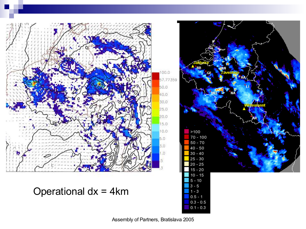



 $0.1 - 0.3$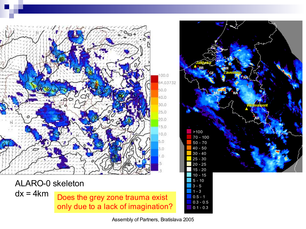

Assembly of Partners, Bratislava 2005

 $0.5 - 1$  $0.3 - 0.5$  $0.1 - 0.3$ 

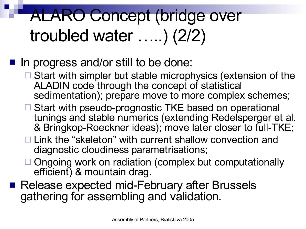# ALARO Concept (bridge over troubled water …..) (2/2)

### In progress and/or still to be done:

- $\Box$  Start with simpler but stable microphysics (extension of the ALADIN code through the concept of statistical sedimentation); prepare move to more complex schemes;
- □ Start with pseudo-prognostic TKE based on operational tunings and stable numerics (extending Redelsperger et al. & Bringkop-Roeckner ideas); move later closer to full-TKE;
- $\Box$  Link the "skeleton" with current shallow convection and diagnostic cloudiness parametrisations;
- $\Box$  Ongoing work on radiation (complex but computationally efficient) & mountain drag.
- Release expected mid-February after Brussels gathering for assembling and validation.